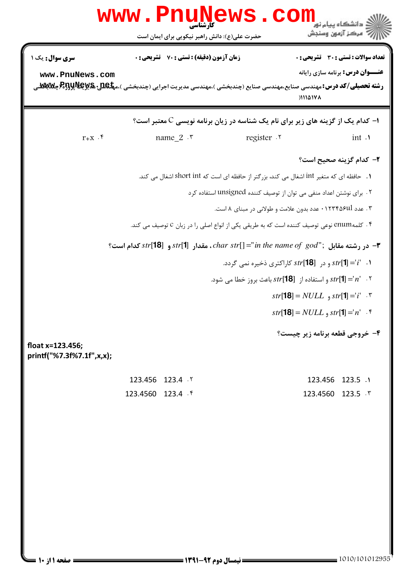|                                               | www.PnuNews.com<br>حضرت علی(ع): دانش راهبر نیکویی برای ایمان است                                                                                                                       |            | .<br>د انشگاه پيام نو <mark>ر</mark><br>ر آمرڪز آزمون وسنڊش                                                                                                                                                                                                                                                                                                                                                                                                                                                                                                                                                        |
|-----------------------------------------------|----------------------------------------------------------------------------------------------------------------------------------------------------------------------------------------|------------|--------------------------------------------------------------------------------------------------------------------------------------------------------------------------------------------------------------------------------------------------------------------------------------------------------------------------------------------------------------------------------------------------------------------------------------------------------------------------------------------------------------------------------------------------------------------------------------------------------------------|
| <b>سری سوال:</b> یک ۱<br>www.PnuNews.com      | <b>زمان آزمون (دقیقه) : تستی : 70 ٪ تشریحی : 0</b><br><b>رشته تحصیلی/کد درس:</b> مهندسی صنایع،مهندسی صنایع (چندبخشی )،مهندسی مدیریت اجرایی (چندبخشی )،م <b>پلکلیا R5yپR5yپرR</b> Bپوتل |            | تعداد سوالات : تستى : 30 - تشريحي : 0<br><b>عنـــوان درس:</b> برنامه سازی رایانه<br>11101V <sub>A</sub>                                                                                                                                                                                                                                                                                                                                                                                                                                                                                                            |
|                                               |                                                                                                                                                                                        |            | ا− کدام یک از گزینه های زیر برای نام یک شناسه در زیان برنامه نویسی C معتبر است؟                                                                                                                                                                                                                                                                                                                                                                                                                                                                                                                                    |
| $r_{+X}$ .                                    | name $2 \cdot$                                                                                                                                                                         | register . | int .                                                                                                                                                                                                                                                                                                                                                                                                                                                                                                                                                                                                              |
| float x=123.456;<br>printf("%7.3f%7.1f",x,x); | ۴ . كلمهenum نوعي توصيف كننده است كه به طريقي يكي از انواع اصلي را در زبان C توصيف مي كند.<br>۴− در رشته مقابل ; "char str[] ="in the name of $\,$ god"; (18] کدام است $\bullet$ ="    |            | ۲– کدام گزینه صحیح است؟<br>۱.   حافظه ای که متغیر int اشغال می کند، بزرگتر از حافظه ای است که short int اشغال می کند.<br>۲. برای نوشتن اعداد منفی می توان از توصیف کننده unsigned استفاده کرد<br>۰۳ عدد ۰۱۲۳۴۵۶ul عدد بدون علامت و طولانی در مبنای ۸ است.<br>۰۱ $str[1] = str[1]$ و در $str[18]$ کاراکتری ذخیره نمی گردد.<br>۰۲ $str[1]=r$ و استفاده از $str[18]$ باعث بروز خطا می شود. $str[1]=r$<br><i>str</i> [ <b>18</b> ] = <i>NULL</i> $\int$ <i>str</i> [ <b>1</b> ] =' <i>i</i> ' $\cdot$ *<br><i>str</i> [ <b>18</b> ] = <i>NULL</i> , <i>str</i> [ <b>1</b> ] = n' . *<br>۴- خروجي قطعه برنامه زير چيست؟ |
|                                               | 123.456 123.4 . ٢                                                                                                                                                                      |            | 123.456 123.5 .1                                                                                                                                                                                                                                                                                                                                                                                                                                                                                                                                                                                                   |
|                                               | 123.4560 123.4 \$                                                                                                                                                                      |            | 123.4560 123.5 . *                                                                                                                                                                                                                                                                                                                                                                                                                                                                                                                                                                                                 |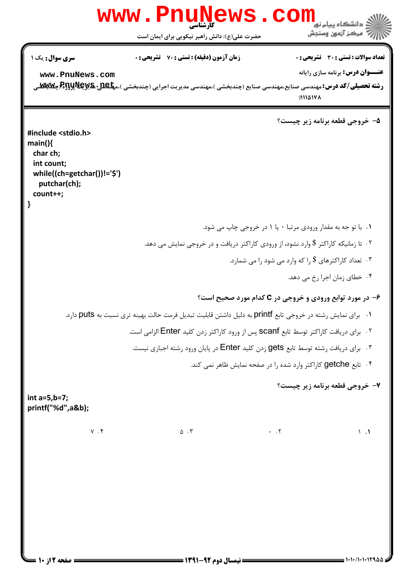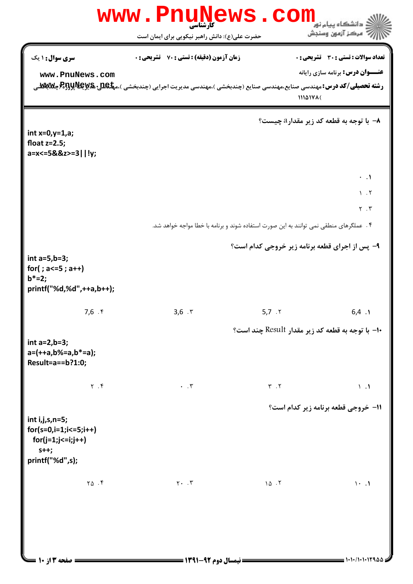| www.PnuNews.com<br>.<br>: دانشگاه پيام نو <mark>ر</mark>                                           |                                                                                                                                                                                      |                             |                                                                                         |  |  |
|----------------------------------------------------------------------------------------------------|--------------------------------------------------------------------------------------------------------------------------------------------------------------------------------------|-----------------------------|-----------------------------------------------------------------------------------------|--|--|
|                                                                                                    | حضرت علی(ع): دانش راهبر نیکویی برای ایمان است                                                                                                                                        |                             | ر آمرڪز آزمون وسنڊش                                                                     |  |  |
| سری سوال: ۱ یک<br>www.PnuNews.com                                                                  | <b>زمان آزمون (دقیقه) : تستی : 70 ٪ تشریحی : 0</b><br><b>رشته تحصیلی/کد درس:</b> مهندسی صنایع،مهندسی صنایع (چندبخشی )،مهندسی مدیریت اجرایی (چندبخشی )،م <b>پگهللی:R5پR5پR5پ</b> رR9پ | 11141711                    | <b>تعداد سوالات : تستی : 30 ٪ تشریحی : 0</b><br><b>عنـــوان درس:</b> برنامه سازی رایانه |  |  |
| int $x=0, y=1, a;$<br>float $z=2.5$ ;<br>a=x<=5&&z>=3  !y;                                         |                                                                                                                                                                                      |                             | ۸- با توجه به قطعه کد زیر مقدار <i>۵ چی</i> ست؟                                         |  |  |
|                                                                                                    | ۰۴ عملگرهای منطقی نمی توانند به این صورت استفاده شوند و برنامه با خطا مواجه خواهد شد.                                                                                                |                             | $\cdot$ $\cdot$ $\cdot$<br>$\lambda$ . T<br>$Y \cdot Y$                                 |  |  |
|                                                                                                    |                                                                                                                                                                                      |                             |                                                                                         |  |  |
| int $a=5,b=3;$<br>for(; $a \le 5$ ; $a++$ )<br>$b^* = 2;$<br>printf("%d,%d",++a,b++);              |                                                                                                                                                                                      |                             | ۹- پس از اجرای قطعه برنامه زیر خروجی کدام است؟                                          |  |  |
| 7,6.9                                                                                              | 3,6.7                                                                                                                                                                                | 5,7.7                       | 6,4.1                                                                                   |  |  |
| int $a=2,b=3$ ;<br>$a=(++a,b%=a,b*-a);$<br>Result=a==b?1:0;                                        |                                                                                                                                                                                      |                             | +ا– با توجه به قطعه کد زیر مقدار Result چند است؟                                        |  |  |
| $Y \cdot Y$                                                                                        | $\cdot$ $\cdot$ $\mathsf{r}$                                                                                                                                                         | $\mathbf{Y}$ . $\mathbf{Y}$ | $\lambda$ . $\lambda$                                                                   |  |  |
| $int i,j,s,n=5;$<br>$for(s=0,i=1;i<=5;i++)$<br>$for (j=1; j<=i; j++)$<br>$s++;$<br>printf("%d",s); |                                                                                                                                                                                      |                             | 11- خروجي قطعه برنامه زير كدام است؟                                                     |  |  |
| $Y\Delta$ .                                                                                        | $Y \cdot \cdot \cdot Y$                                                                                                                                                              | 10.7                        | $\cdot \cdot \cdot$                                                                     |  |  |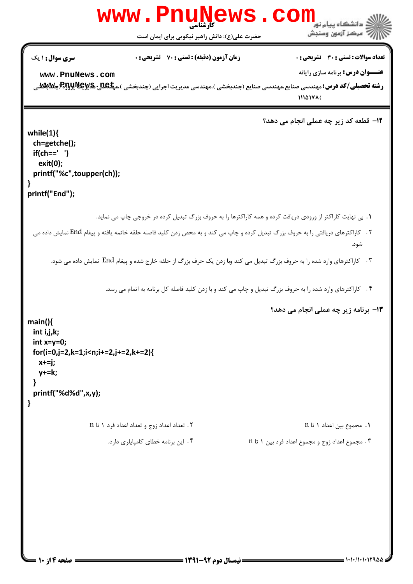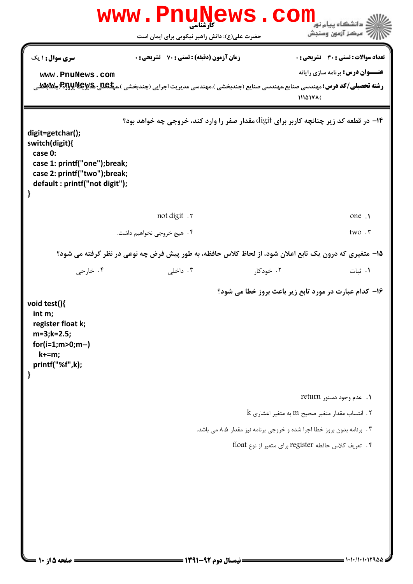|                                                                                                                                                     | www.PnuNews                                                                                                                                                                          |                                                                         | $\bullet$ COM                                                                                                    |
|-----------------------------------------------------------------------------------------------------------------------------------------------------|--------------------------------------------------------------------------------------------------------------------------------------------------------------------------------------|-------------------------------------------------------------------------|------------------------------------------------------------------------------------------------------------------|
|                                                                                                                                                     | حضرت علی(ع): دانش راهبر نیکویی برای ایمان است                                                                                                                                        |                                                                         | ر آمرڪز آزمون وسنڊش                                                                                              |
| <b>سری سوال : ۱ یک</b><br>www.PnuNews.com                                                                                                           | <b>زمان آزمون (دقیقه) : تستی : 70 ٪ تشریحی : 0</b><br><b>رشته تحصیلی/کد درس:</b> مهندسی صنایع،مهندسی صنایع (چندبخشی )،مهندسی مدیریت اجرایی (چندبخشی )،م <b>پگهللی:R5پR5پR5پ</b> رR9پ |                                                                         | <b>تعداد سوالات : تستی : 30 ٪ تشریحی : 0</b><br><b>عنـــوان درس:</b> برنامه سازی رایانه<br>$111\Delta 14\lambda$ |
| digit=getchar();<br>switch(digit){<br>case 0:<br>case 1: printf("one");break;<br>case 2: printf("two");break;<br>default: printf("not digit");<br>} | ۱۴- در قطعه کد زیر چنانچه کاربر برای digit مقدار صفر را وارد کند، خروجی چه خواهد بود؟                                                                                                |                                                                         |                                                                                                                  |
|                                                                                                                                                     | not digit . v                                                                                                                                                                        |                                                                         | one .                                                                                                            |
|                                                                                                                                                     | ۰۴ هيچ خروجي نخواهيم داشت.                                                                                                                                                           |                                                                         | two. r                                                                                                           |
|                                                                                                                                                     | ۱۵– متغیری که درون یک تابع اعلان شود، از لحاظ کلاس حافظه، به طور پیش فرض چه نوعی در نظر گرفته می شود؟                                                                                |                                                                         |                                                                                                                  |
| ۰۴ خارجي                                                                                                                                            | ۰۳ داخلی                                                                                                                                                                             | ۰۲ خودکار                                                               | ٠١ ثبات                                                                                                          |
| void test(){<br>int m;<br>register float k;<br>$m=3; k=2.5;$<br>$for(i=1; m>0; m--)$<br>$k+=m;$<br>printf("%f",k);<br>}                             |                                                                                                                                                                                      | ۱۶- کدام عبارت در مورد تابع زیر باعث بروز خطا می شود؟                   |                                                                                                                  |
|                                                                                                                                                     |                                                                                                                                                                                      |                                                                         | 1. عدم وجود دستو, return                                                                                         |
|                                                                                                                                                     |                                                                                                                                                                                      |                                                                         | $k$ ا انتساب مقدار متغیر صحیح m به متغیر اعشاری $k$                                                              |
|                                                                                                                                                     |                                                                                                                                                                                      | ۳ . برنامه بدون بروز خطا اجرا شده و خروجی برنامه نیز مقدار ۸،۵ می باشد. |                                                                                                                  |
|                                                                                                                                                     |                                                                                                                                                                                      | ۴.  تعریف کلاس حافظه register برای متغیر از نوع float                   |                                                                                                                  |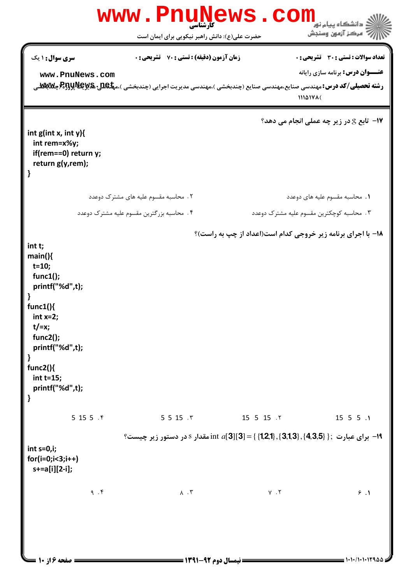|                                                                                                                                                                                                                      |       | <b>www.PnuNews</b>                                                                                                                                                                          | . COM               | دانشگاه پیام نو <mark>ر</mark>                                                            |
|----------------------------------------------------------------------------------------------------------------------------------------------------------------------------------------------------------------------|-------|---------------------------------------------------------------------------------------------------------------------------------------------------------------------------------------------|---------------------|-------------------------------------------------------------------------------------------|
|                                                                                                                                                                                                                      |       | حضرت علی(ع): دانش راهبر نیکویی برای ایمان است                                                                                                                                               |                     | 7' مرڪز آزمون وسنڊش                                                                       |
| <b>سری سوال :</b> ۱ یک<br>www.PnuNews.com                                                                                                                                                                            |       | <b>زمان آزمون (دقیقه) : تستی : 70 ٪ تشریحی : 0</b><br><b>رشته تحصیلی/کد درس:</b> مهندسی صنایع،مهندسی صنایع (چندبخشی )،مهندسی مدیریت اجرایی (چندبخشی )،م <b>پلکلیا R5yپR5yپR5y چلابلان</b> گ |                     | تعداد سوالات : تستى : 30 قشريحى : 0<br><b>عنـــوان درس:</b> برنامه سازی رایانه<br>1114171 |
| int $g(int x, int y)$<br>int rem=x%y;<br>if(rem==0) return y;<br>return g(y,rem);<br>}                                                                                                                               |       |                                                                                                                                                                                             |                     | <b>۱۷- تابع S در زیر چه عملی انجام می دهد؟</b>                                            |
|                                                                                                                                                                                                                      |       | ۲. محاسبه مقسوم علیه های مشترک دوعدد                                                                                                                                                        |                     | ٠١. محاسبه مقسوم عليه هاى دوعدد                                                           |
|                                                                                                                                                                                                                      |       | ۰۴ محاسبه بزرگترین مقسوم علیه مشترک دوعدد                                                                                                                                                   |                     | ۰۳ محاسبه کوچکترین مقسوم علیه مشترک دوعدد                                                 |
| int t;<br>main()<br>$t = 10;$<br>func1();<br>printf("%d",t);<br>func1()<br>int $x=2$ ;<br>$t$ /=x;<br>func2();<br>printf("%d",t);<br>$\mathbf{\}$<br>func2() $\{$<br>$int t=15;$<br>printf("%d",t);<br>$\mathbf{\}}$ |       |                                                                                                                                                                                             |                     | ۱۸- با اجرای برنامه زیر خروجی کدام است(اعداد از چپ به راست)؟                              |
|                                                                                                                                                                                                                      | 5155. | 5 5 15 .7                                                                                                                                                                                   | 15 5 15 . 1         | $15$ 5 5 $\cdot$ 1                                                                        |
| int $s=0,i;$<br>$for(i=0;i<3;i++)$<br>s+=a[i][2-i];                                                                                                                                                                  |       | ا - برای عبارت ; { {1,2,1}, {3,1,3}, {4,3,5} } = (1,21} } مقدار 8 در دستور زیر چیست؟ {                                                                                                      |                     |                                                                                           |
| صفحه ۱۶ ۱۰ ۱۰                                                                                                                                                                                                        | 9.7   | $\Lambda$ . $\Upsilon$<br><b>== نیمسال دوم ۹۲-۱۳۹۱ <del>-</del>=</b>                                                                                                                        | $\gamma$ . $\gamma$ | 9.1<br>1.1.1.1.12900                                                                      |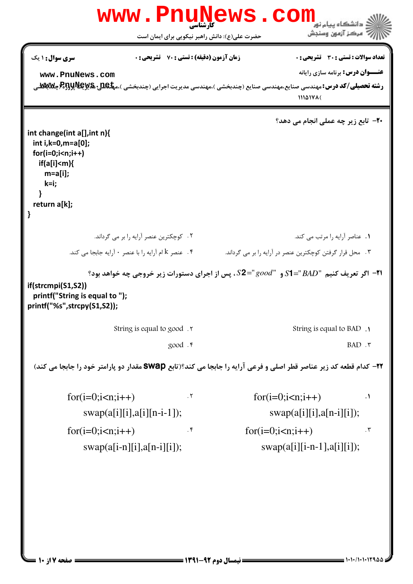|                                                                                                                                       | <b>www.PnuNews</b>                                 | . COI       | دانشگاه پیام نور                                                                      |
|---------------------------------------------------------------------------------------------------------------------------------------|----------------------------------------------------|-------------|---------------------------------------------------------------------------------------|
|                                                                                                                                       | حضرت علی(ع): دانش راهبر نیکویی برای ایمان است      |             | " مرڪز آزمون وسنڊش                                                                    |
| <b>سری سوال :</b> ۱ یک                                                                                                                | <b>زمان آزمون (دقیقه) : تستی : 70 ٪ تشریحی : 0</b> |             | تعداد سوالات : تستي : 30 ٪ تشريحي : 0                                                 |
| www.PnuNews.com                                                                                                                       |                                                    |             | <b>عنـــوان درس:</b> برنامه سازی رایانه                                               |
| <b>رشته تحصیلی/کد درس:</b> مهندسی صنایع،مهندسی صنایع (چندبخشی )،مهندسی مدیریت اجرایی (چندبخشی )،م <b>یکیلیا R5پR5پرR5(چکلابیلا</b> لی |                                                    |             | $111\Delta 14\lambda$                                                                 |
|                                                                                                                                       |                                                    |             | <b>۲۰</b> - تابع زیر چه عملی انجام می دهد؟                                            |
| int change(int a[], int n){<br>int i, $k=0, m=a[0]$ ;                                                                                 |                                                    |             |                                                                                       |
| $for(i=0;i< n;i++)$<br>if(a[i] <m)< td=""><td></td><td></td><td></td></m)<>                                                           |                                                    |             |                                                                                       |
| $m=a[i];$                                                                                                                             |                                                    |             |                                                                                       |
| k=i;                                                                                                                                  |                                                    |             |                                                                                       |
| return a[k];                                                                                                                          |                                                    |             |                                                                                       |
|                                                                                                                                       | ٢. كوچكترين عنصر آرايه را بر مي گرداند.            |             | 1. عناصر آرايه را مرتب مي كند.                                                        |
| ۰۴ عنصر k ام آرایه را با عنصر ۰ آرایه جابجا می کند.                                                                                   |                                                    |             | ۰۳ محل قرار گرفتن کوچکترین عنصر در آرایه را بر می گرداند.                             |
|                                                                                                                                       |                                                    |             | ا۲- اگر تعریف کنیم "S1="BAD و "s2="good"، پس از اجرای دستورات زیر خروجی چه خواهد بود؟ |
| if(strcmpi(S1,S2))<br>printf("String is equal to");<br>printf("%s",strcpy(S1,S2));                                                    |                                                    |             |                                                                                       |
|                                                                                                                                       | String is equal to good.                           |             | String is equal to BAD .                                                              |
|                                                                                                                                       | good . F                                           |             | $BAD$ . $\tau$                                                                        |
| 3۲- کدام قطعه کد زیر عناصر قطر اصلی و فرعی آرایه را جابجا می کند؟(تابع SWap مقدار دو پارامتر خود را جابجا می کند)                     |                                                    |             |                                                                                       |
| $for(i=0;i$                                                                                                                           | $\cdot$ $\mathsf{r}$                               | $for(i=0;i$ | $\cdot$                                                                               |
|                                                                                                                                       | $swap(a[i][i], a[i][n-i-1]);$                      |             | $swap(a[i][i], a[n-i][i])$ ;                                                          |
| $for(i=0;i$                                                                                                                           | $\cdot$ ۴                                          | $for(i=0;i$ | $\cdot$ $\mathsf{r}$                                                                  |
| $swap(a[i-n][i],a[n-i][i])$ ;                                                                                                         |                                                    |             | $swap(a[i][i-n-1], a[i][i]);$                                                         |
|                                                                                                                                       |                                                    |             |                                                                                       |
|                                                                                                                                       |                                                    |             |                                                                                       |
|                                                                                                                                       |                                                    |             |                                                                                       |
|                                                                                                                                       |                                                    |             |                                                                                       |
|                                                                                                                                       |                                                    |             |                                                                                       |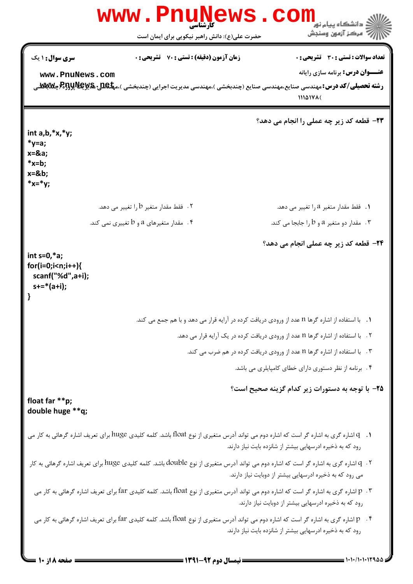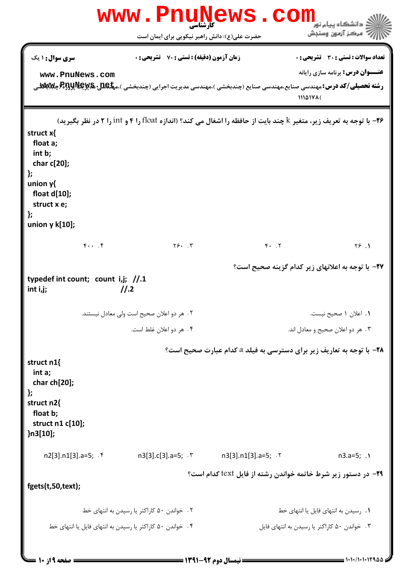|                                                                                                                                  | www.PnuNews                                               | <b>. COM</b>                                                                                                                                                   | ه دانشگاه پیام نور                                                               |
|----------------------------------------------------------------------------------------------------------------------------------|-----------------------------------------------------------|----------------------------------------------------------------------------------------------------------------------------------------------------------------|----------------------------------------------------------------------------------|
|                                                                                                                                  | حضرت علی(ع): دانش راهبر نیکویی برای ایمان است             |                                                                                                                                                                | 7' مرڪز آزمون وسنڊش                                                              |
| <b>سری سوال :</b> ۱ یک<br>www.PnuNews.com                                                                                        | <b>زمان آزمون (دقیقه) : تستی : 70 ٪ تشریحی : 0</b>        | <b>رشته تحصیلی/کد درس:</b> مهندسی صنایع،مهندسی صنایع (چندبخشی )،مهندسی مدیریت اجرایی (چندبخشی )،م <b>یکلیلاپاراپاراتی (P5بلاتیل او</b> راپلاتیلاپاراتی)،میکایا | تعداد سوالات : تستي : 30 ٪ تشريحي : 0<br><b>عنـــوان درس:</b> برنامه سازی رایانه |
|                                                                                                                                  |                                                           |                                                                                                                                                                | 11141716                                                                         |
| struct x{<br>float a;<br>int b;<br>char c[20];<br>};<br>union $y$ $\{$<br>float d[10];<br>struct x e;<br>};<br>union $y k[10]$ ; |                                                           | ۲۶- با توجه به تعریف زیر، متغیر k چند بایت از حافظه را اشغال می کند؟ (اندازه float را ۴ و int را ۲ در نظر بگیرید)                                              |                                                                                  |
| $f \cdot \cdot \cdot f$                                                                                                          | $Y5.$ $Y$                                                 | $Y.$ $Y$                                                                                                                                                       | Y5.1                                                                             |
| typedef int count; count i,j; $//.1$<br>int i,j;                                                                                 | 11.2                                                      |                                                                                                                                                                | <b>۲۷</b> - با توجه به اعلانهای زیر کدام گزینه صحیح است؟                         |
|                                                                                                                                  | ٢. هر دو اعلان صحيح است ولي معادل نيستند.                 |                                                                                                                                                                | ۰۱ اعلان ۱ صحیح نیست.                                                            |
|                                                                                                                                  | ۰۴ هر دو اعلان غلط است.                                   |                                                                                                                                                                | ۰۳ هر دو اعلان صحیح و معادل اند.                                                 |
| struct n1{<br>int a;<br>char ch[20];<br>};<br>struct n2{<br>float b;<br>struct n1 c[10];<br>}n3[10];                             |                                                           | <b>۲۸-</b> با توجه به تعاریف زیر برای دسترسی به فیلد a کدام عبارت صحیح است؟                                                                                    |                                                                                  |
| $n2[3].n1[3].a=5;$ . f                                                                                                           |                                                           | n3[3].c[3].a=5; . ٣ n3[3].n1[3].a=5; . ٢                                                                                                                       | $n3.a=5; .1$                                                                     |
| fgets(t,50,text);                                                                                                                |                                                           | <b>۲۹</b> - در دستور زیر شرط خاتمه خواندن رشته از فایل text کدام است؟                                                                                          |                                                                                  |
|                                                                                                                                  | ۰۲ خواندن ۵۰ کاراکتر یا رسیدن به انتهای خط                |                                                                                                                                                                | ۰۱ رسیدن به انتهای فایل یا انتهای خط                                             |
|                                                                                                                                  | ۰۴ خواندن ۵۰ کاراکتر یا رسیدن به انتهای فایل یا انتهای خط |                                                                                                                                                                | ۰۳ خواندن ۵۰ کاراکتر یا رسیدن به انتهای فایل                                     |
| = صفحه 9 از 10 =                                                                                                                 |                                                           | <b>==</b> نیمسال دوم ۹۲-۱۳۹۱ <b>--</b>                                                                                                                         |                                                                                  |